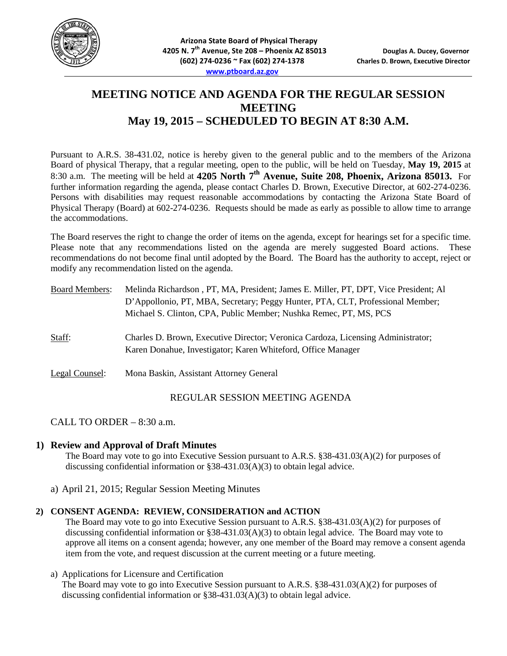

# **MEETING NOTICE AND AGENDA FOR THE REGULAR SESSION MEETING May 19, 2015 – SCHEDULED TO BEGIN AT 8:30 A.M.**

Pursuant to A.R.S. 38-431.02, notice is hereby given to the general public and to the members of the Arizona Board of physical Therapy, that a regular meeting, open to the public, will be held on Tuesday, **May 19, 2015** at 8:30 a.m. The meeting will be held at **4205 North 7th Avenue, Suite 208, Phoenix, Arizona 85013.** For further information regarding the agenda, please contact Charles D. Brown, Executive Director, at 602-274-0236. Persons with disabilities may request reasonable accommodations by contacting the Arizona State Board of Physical Therapy (Board) at 602-274-0236. Requests should be made as early as possible to allow time to arrange the accommodations.

The Board reserves the right to change the order of items on the agenda, except for hearings set for a specific time. Please note that any recommendations listed on the agenda are merely suggested Board actions. These recommendations do not become final until adopted by the Board. The Board has the authority to accept, reject or modify any recommendation listed on the agenda.

| <b>Board Members:</b> | Melinda Richardson, PT, MA, President; James E. Miller, PT, DPT, Vice President; Al<br>D'Appollonio, PT, MBA, Secretary; Peggy Hunter, PTA, CLT, Professional Member;<br>Michael S. Clinton, CPA, Public Member; Nushka Remec, PT, MS, PCS |
|-----------------------|--------------------------------------------------------------------------------------------------------------------------------------------------------------------------------------------------------------------------------------------|
| Staff:                | Charles D. Brown, Executive Director; Veronica Cardoza, Licensing Administrator;<br>Karen Donahue, Investigator; Karen Whiteford, Office Manager                                                                                           |
| Legal Counsel:        | Mona Baskin, Assistant Attorney General                                                                                                                                                                                                    |

## REGULAR SESSION MEETING AGENDA

CALL TO ORDER – 8:30 a.m.

### **1) Review and Approval of Draft Minutes**

The Board may vote to go into Executive Session pursuant to A.R.S. §38-431.03(A)(2) for purposes of discussing confidential information or §38-431.03(A)(3) to obtain legal advice.

a) April 21, 2015; Regular Session Meeting Minutes

#### **2) CONSENT AGENDA: REVIEW, CONSIDERATION and ACTION**

The Board may vote to go into Executive Session pursuant to A.R.S. §38-431.03(A)(2) for purposes of discussing confidential information or §38-431.03(A)(3) to obtain legal advice. The Board may vote to approve all items on a consent agenda; however, any one member of the Board may remove a consent agenda item from the vote, and request discussion at the current meeting or a future meeting.

#### a) Applications for Licensure and Certification

The Board may vote to go into Executive Session pursuant to A.R.S. §38-431.03(A)(2) for purposes of discussing confidential information or  $\S 38-431.03(A)(3)$  to obtain legal advice.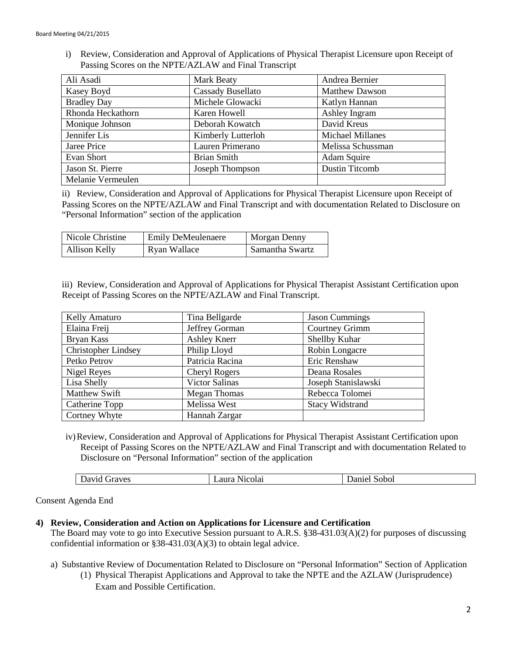i) Review, Consideration and Approval of Applications of Physical Therapist Licensure upon Receipt of Passing Scores on the NPTE/AZLAW and Final Transcript

| Ali Asadi          | Mark Beaty               | Andrea Bernier          |
|--------------------|--------------------------|-------------------------|
| Kasey Boyd         | <b>Cassady Busellato</b> | <b>Matthew Dawson</b>   |
| <b>Bradley Day</b> | Michele Glowacki         | Katlyn Hannan           |
| Rhonda Heckathorn  | Karen Howell             | Ashley Ingram           |
| Monique Johnson    | Deborah Kowatch          | David Kreus             |
| Jennifer Lis       | Kimberly Lutterloh       | <b>Michael Millanes</b> |
| Jaree Price        | Lauren Primerano         | Melissa Schussman       |
| Evan Short         | <b>Brian Smith</b>       | Adam Squire             |
| Jason St. Pierre   | Joseph Thompson          | <b>Dustin Titcomb</b>   |
| Melanie Vermeulen  |                          |                         |

ii) Review, Consideration and Approval of Applications for Physical Therapist Licensure upon Receipt of Passing Scores on the NPTE/AZLAW and Final Transcript and with documentation Related to Disclosure on "Personal Information" section of the application

| Nicole Christine | <b>Emily DeMeulenaere</b> | Morgan Denny    |
|------------------|---------------------------|-----------------|
| Allison Kelly    | Ryan Wallace              | Samantha Swartz |

iii) Review, Consideration and Approval of Applications for Physical Therapist Assistant Certification upon Receipt of Passing Scores on the NPTE/AZLAW and Final Transcript.

| Kelly Amaturo              | Tina Bellgarde       | <b>Jason Cummings</b>  |
|----------------------------|----------------------|------------------------|
| Elaina Freij               | Jeffrey Gorman       | Courtney Grimm         |
| Bryan Kass                 | Ashley Knerr         | Shellby Kuhar          |
| <b>Christopher Lindsey</b> | Philip Lloyd         | Robin Longacre         |
| Petko Petrov               | Patricia Racina      | Eric Renshaw           |
| Nigel Reyes                | <b>Cheryl Rogers</b> | Deana Rosales          |
| Lisa Shelly                | Victor Salinas       | Joseph Stanislawski    |
| <b>Matthew Swift</b>       | <b>Megan Thomas</b>  | Rebecca Tolomei        |
| Catherine Topp             | Melissa West         | <b>Stacy Widstrand</b> |
| Cortney Whyte              | Hannah Zargar        |                        |

iv)Review, Consideration and Approval of Applications for Physical Therapist Assistant Certification upon Receipt of Passing Scores on the NPTE/AZLAW and Final Transcript and with documentation Related to Disclosure on "Personal Information" section of the application

Consent Agenda End

#### **4) Review, Consideration and Action on Applications for Licensure and Certification**

The Board may vote to go into Executive Session pursuant to A.R.S. §38-431.03(A)(2) for purposes of discussing confidential information or §38-431.03(A)(3) to obtain legal advice.

- a) Substantive Review of Documentation Related to Disclosure on "Personal Information" Section of Application
	- (1) Physical Therapist Applications and Approval to take the NPTE and the AZLAW (Jurisprudence) Exam and Possible Certification.